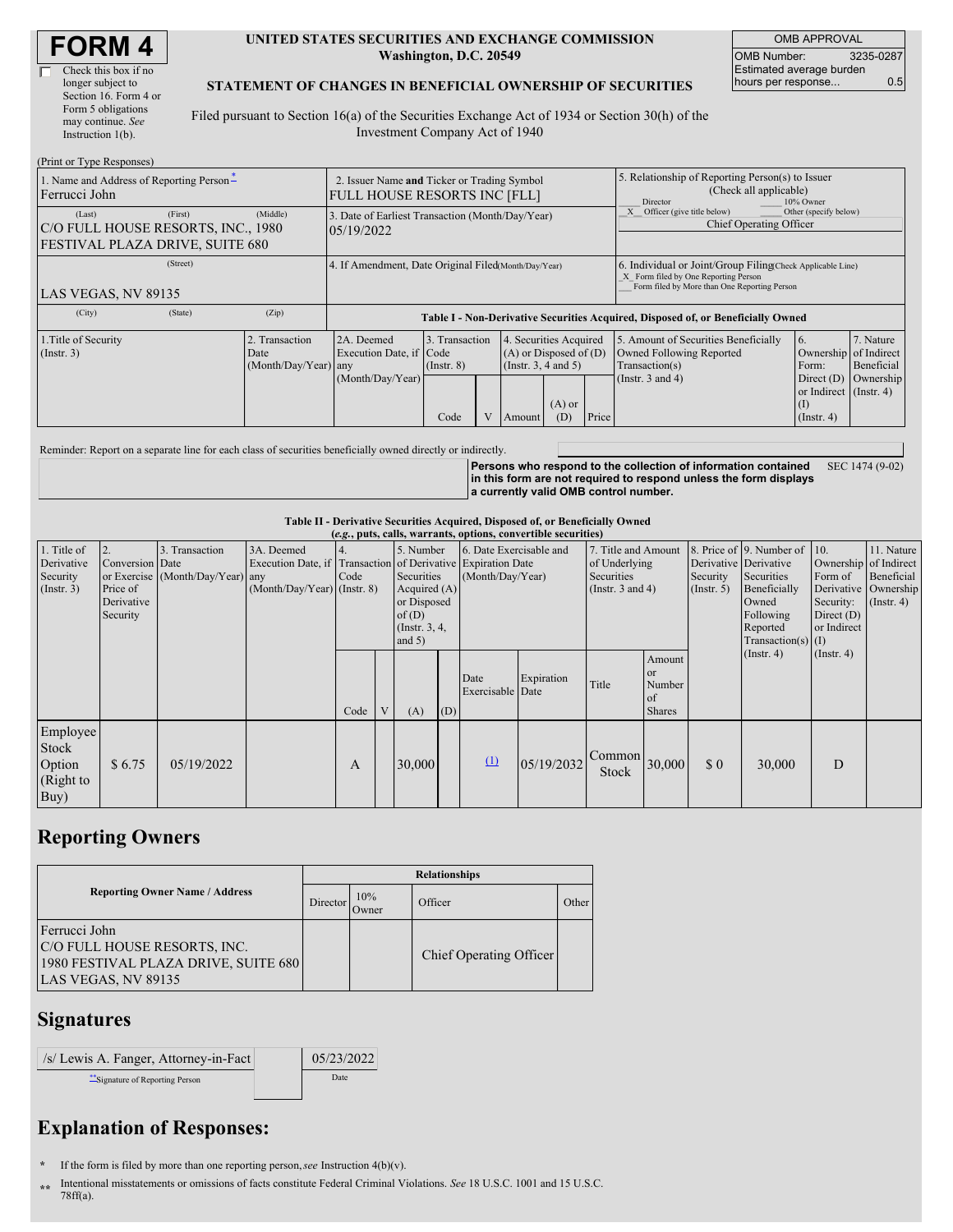#### **UNITED STATES SECURITIES AND EXCHANGE COMMISSION Washington, D.C. 20549**

OMB APPROVAL OMB Number: 3235-0287 Estimated average burden hours per response... 0.5

#### **STATEMENT OF CHANGES IN BENEFICIAL OWNERSHIP OF SECURITIES**

Filed pursuant to Section 16(a) of the Securities Exchange Act of 1934 or Section 30(h) of the Investment Company Act of 1940

| 1. Name and Address of Reporting Person-<br>Ferrucci John                                              |                                                                                  |                                    |                                             |                |                                     | 5. Relationship of Reporting Person(s) to Issuer<br>(Check all applicable)<br>Director<br>10% Owner                                      |                                                                                                                                                    |                                               |                                                                     |  |
|--------------------------------------------------------------------------------------------------------|----------------------------------------------------------------------------------|------------------------------------|---------------------------------------------|----------------|-------------------------------------|------------------------------------------------------------------------------------------------------------------------------------------|----------------------------------------------------------------------------------------------------------------------------------------------------|-----------------------------------------------|---------------------------------------------------------------------|--|
| (First)<br>(Middle)<br>(Last)<br>C/O FULL HOUSE RESORTS, INC., 1980<br>FESTIVAL PLAZA DRIVE, SUITE 680 |                                                                                  |                                    |                                             |                |                                     | Other (specify below)<br>Officer (give title below)<br>Chief Operating Officer                                                           |                                                                                                                                                    |                                               |                                                                     |  |
|                                                                                                        | 4. If Amendment, Date Original Filed(Month/Day/Year)                             |                                    |                                             |                |                                     |                                                                                                                                          | 6. Individual or Joint/Group Filing Check Applicable Line)<br>X Form filed by One Reporting Person<br>Form filed by More than One Reporting Person |                                               |                                                                     |  |
| (Zip)                                                                                                  | Table I - Non-Derivative Securities Acquired, Disposed of, or Beneficially Owned |                                    |                                             |                |                                     |                                                                                                                                          |                                                                                                                                                    |                                               |                                                                     |  |
| 2. Transaction                                                                                         | 2A. Deemed                                                                       | $($ Instr. $8)$<br>Code            |                                             |                | $(A)$ or                            | Price                                                                                                                                    | Owned Following Reported<br>Transaction(s)<br>(Instr. $3$ and $4$ )                                                                                | <sup>6.</sup><br>Form:<br>Direct $(D)$<br>(I) | 7. Nature<br>Beneficial<br>Ownership                                |  |
|                                                                                                        | Date                                                                             | 05/19/2022<br>(Month/Day/Year) any | Execution Date, if Code<br>(Month/Day/Year) | 3. Transaction | <b>FULL HOUSE RESORTS INC [FLL]</b> | 2. Issuer Name and Ticker or Trading Symbol<br>3. Date of Earliest Transaction (Month/Day/Year)<br>(Insert. 3, 4 and 5)<br>(D)<br>Amount | 4. Securities Acquired<br>$(A)$ or Disposed of $(D)$                                                                                               | 5. Amount of Securities Beneficially          | Ownership of Indirect<br>or Indirect (Instr. 4)<br>$($ Instr. 4 $)$ |  |

Reminder: Report on a separate line for each class of securities beneficially owned directly or indirectly.

**Persons who respond to the collection of information contained in this form are not required to respond unless the form displays a currently valid OMB control number.** SEC 1474 (9-02)

### **Table II - Derivative Securities Acquired, Disposed of, or Beneficially Owned**

| (e.g., puts, calls, warrants, options, convertible securities) |                                                             |                                                    |                                                                                                             |      |                                                                                                   |        |                                             |                          |                                                                             |                 |                                                             |                                                                                                                  |                                                                    |                                                                                            |  |
|----------------------------------------------------------------|-------------------------------------------------------------|----------------------------------------------------|-------------------------------------------------------------------------------------------------------------|------|---------------------------------------------------------------------------------------------------|--------|---------------------------------------------|--------------------------|-----------------------------------------------------------------------------|-----------------|-------------------------------------------------------------|------------------------------------------------------------------------------------------------------------------|--------------------------------------------------------------------|--------------------------------------------------------------------------------------------|--|
| 1. Title of<br>Derivative<br>Security<br>(Insert. 3)           | 2.<br>Conversion Date<br>Price of<br>Derivative<br>Security | 3. Transaction<br>or Exercise (Month/Day/Year) any | 3A. Deemed<br>Execution Date, if Transaction of Derivative Expiration Date<br>$(Month/Day/Year)$ (Instr. 8) | Code | 5. Number<br>Securities<br>Acquired $(A)$<br>or Disposed<br>of(D)<br>(Instr. $3, 4$ ,<br>and $5)$ |        | 6. Date Exercisable and<br>(Month/Day/Year) |                          | 7. Title and Amount<br>of Underlying<br>Securities<br>(Instr. $3$ and $4$ ) |                 | Derivative Derivative<br>Security<br>(Insert. 5)            | 8. Price of 9. Number of<br>Securities<br>Beneficially<br>Owned<br>Following<br>Reported<br>$Transaction(s)$ (I) | $\vert$ 10.<br>Form of<br>Security:<br>Direct $(D)$<br>or Indirect | 11. Nature<br>Ownership of Indirect<br>Beneficial<br>Derivative Ownership<br>$($ Instr. 4) |  |
|                                                                |                                                             |                                                    |                                                                                                             | Code | $\mathbf{V}$                                                                                      | (A)    | (D)                                         | Date<br>Exercisable Date | Expiration                                                                  | Title           | Amount<br><b>or</b><br>Number<br><b>of</b><br><b>Shares</b> |                                                                                                                  | $($ Instr. 4 $)$                                                   | $($ Instr. 4 $)$                                                                           |  |
| Employee<br>Stock<br>Option<br>(Right to<br>Buy)               | \$6.75                                                      | 05/19/2022                                         |                                                                                                             | А    |                                                                                                   | 30,000 |                                             | $\Omega$                 | 05/19/2032                                                                  | Common<br>Stock | 30,000                                                      | $\Omega$                                                                                                         | 30,000                                                             | D                                                                                          |  |

## **Reporting Owners**

|                                                                                                              | <b>Relationships</b> |              |                         |       |  |  |  |  |
|--------------------------------------------------------------------------------------------------------------|----------------------|--------------|-------------------------|-------|--|--|--|--|
| <b>Reporting Owner Name / Address</b>                                                                        | Director             | 10%<br>Owner | Officer                 | Other |  |  |  |  |
| Ferrucci John<br>C/O FULL HOUSE RESORTS, INC.<br>1980 FESTIVAL PLAZA DRIVE, SUITE 680<br>LAS VEGAS, NV 89135 |                      |              | Chief Operating Officer |       |  |  |  |  |

## **Signatures**

| /s/ Lewis A. Fanger, Attorney-in-Fact | 05/23/2022 |
|---------------------------------------|------------|
| Signature of Reporting Person         | Date       |

# **Explanation of Responses:**

**\*** If the form is filed by more than one reporting person,*see* Instruction 4(b)(v).

**\*\*** Intentional misstatements or omissions of facts constitute Federal Criminal Violations. *See* 18 U.S.C. 1001 and 15 U.S.C. 78ff(a).